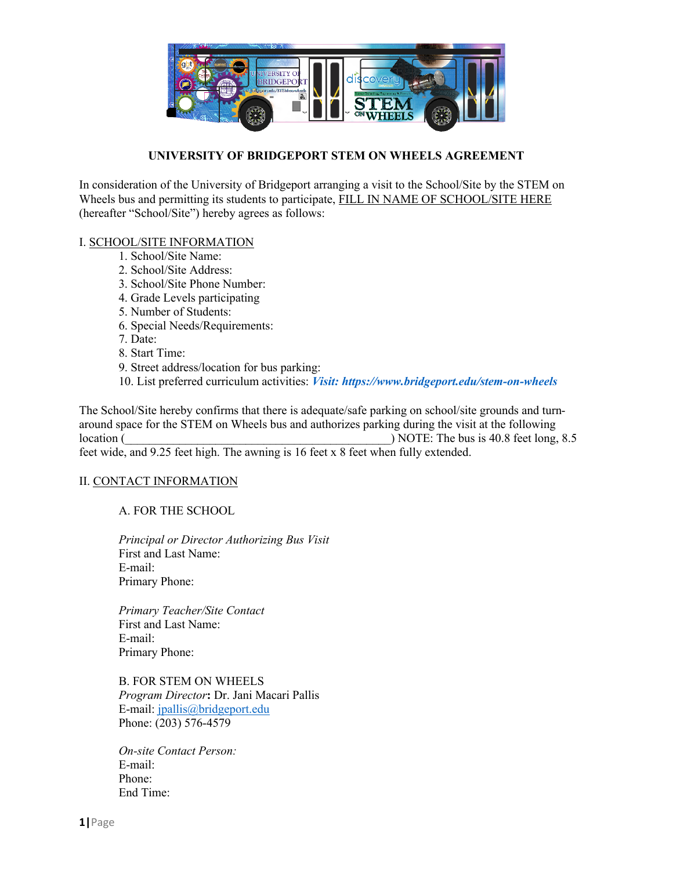

## **UNIVERSITY OF BRIDGEPORT STEM ON WHEELS AGREEMENT**

In consideration of the University of Bridgeport arranging a visit to the School/Site by the STEM on Wheels bus and permitting its students to participate, FILL IN NAME OF SCHOOL/SITE HERE (hereafter "School/Site") hereby agrees as follows:

## I. SCHOOL/SITE INFORMATION

- 1. School/Site Name:
- 2. School/Site Address:
- 3. School/Site Phone Number:
- 4. Grade Levels participating
- 5. Number of Students:
- 6. Special Needs/Requirements:
- 7. Date:
- 8. Start Time:
- 9. Street address/location for bus parking:
- 10. List preferred curriculum activities: *Visit: https://www.bridgeport.edu/stem-on-wheels*

The School/Site hereby confirms that there is adequate/safe parking on school/site grounds and turnaround space for the STEM on Wheels bus and authorizes parking during the visit at the following location (  $\overline{a}$ ) NOTE: The bus is 40.8 feet long, 8.5 feet wide, and 9.25 feet high. The awning is 16 feet x 8 feet when fully extended.

## II. CONTACT INFORMATION

A. FOR THE SCHOOL

*Principal or Director Authorizing Bus Visit*  First and Last Name: E-mail: Primary Phone:

*Primary Teacher/Site Contact*  First and Last Name: E-mail: Primary Phone:

B. FOR STEM ON WHEELS *Program Director***:** Dr. Jani Macari Pallis E-mail: jpallis@bridgeport.edu Phone: (203) 576-4579

*On-site Contact Person:*  E-mail: Phone: End Time: